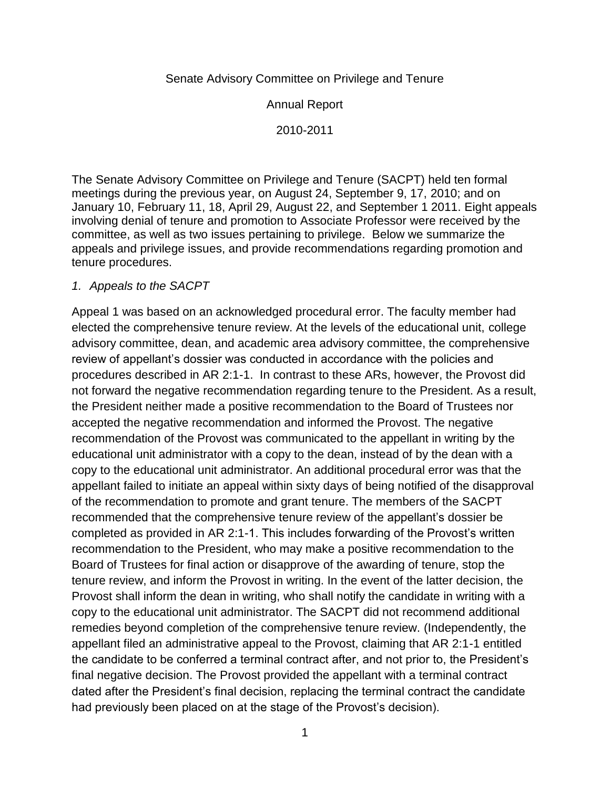## Senate Advisory Committee on Privilege and Tenure

Annual Report

2010-2011

The Senate Advisory Committee on Privilege and Tenure (SACPT) held ten formal meetings during the previous year, on August 24, September 9, 17, 2010; and on January 10, February 11, 18, April 29, August 22, and September 1 2011. Eight appeals involving denial of tenure and promotion to Associate Professor were received by the committee, as well as two issues pertaining to privilege. Below we summarize the appeals and privilege issues, and provide recommendations regarding promotion and tenure procedures.

## *1. Appeals to the SACPT*

Appeal 1 was based on an acknowledged procedural error. The faculty member had elected the comprehensive tenure review. At the levels of the educational unit, college advisory committee, dean, and academic area advisory committee, the comprehensive review of appellant's dossier was conducted in accordance with the policies and procedures described in AR 2:1-1. In contrast to these ARs, however, the Provost did not forward the negative recommendation regarding tenure to the President. As a result, the President neither made a positive recommendation to the Board of Trustees nor accepted the negative recommendation and informed the Provost. The negative recommendation of the Provost was communicated to the appellant in writing by the educational unit administrator with a copy to the dean, instead of by the dean with a copy to the educational unit administrator. An additional procedural error was that the appellant failed to initiate an appeal within sixty days of being notified of the disapproval of the recommendation to promote and grant tenure. The members of the SACPT recommended that the comprehensive tenure review of the appellant's dossier be completed as provided in AR 2:1-1. This includes forwarding of the Provost's written recommendation to the President, who may make a positive recommendation to the Board of Trustees for final action or disapprove of the awarding of tenure, stop the tenure review, and inform the Provost in writing. In the event of the latter decision, the Provost shall inform the dean in writing, who shall notify the candidate in writing with a copy to the educational unit administrator. The SACPT did not recommend additional remedies beyond completion of the comprehensive tenure review. (Independently, the appellant filed an administrative appeal to the Provost, claiming that AR 2:1-1 entitled the candidate to be conferred a terminal contract after, and not prior to, the President's final negative decision. The Provost provided the appellant with a terminal contract dated after the President's final decision, replacing the terminal contract the candidate had previously been placed on at the stage of the Provost's decision).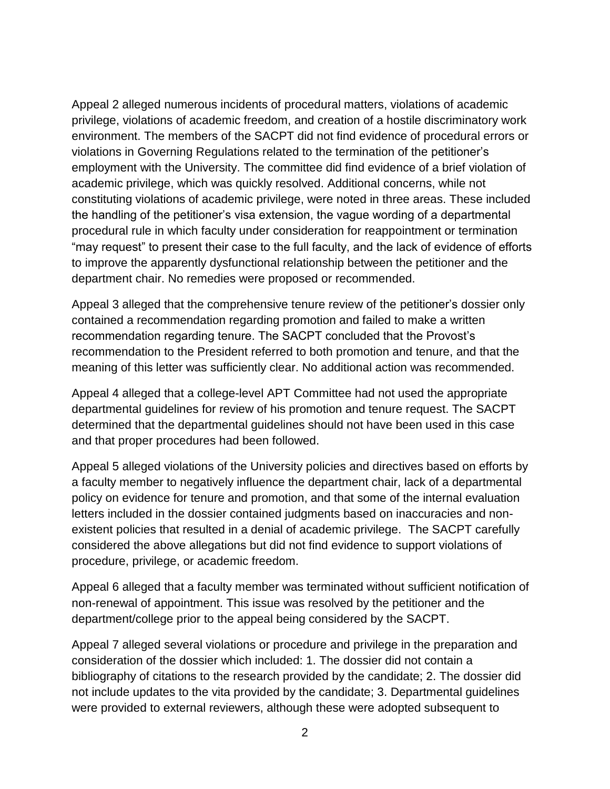Appeal 2 alleged numerous incidents of procedural matters, violations of academic privilege, violations of academic freedom, and creation of a hostile discriminatory work environment. The members of the SACPT did not find evidence of procedural errors or violations in Governing Regulations related to the termination of the petitioner's employment with the University. The committee did find evidence of a brief violation of academic privilege, which was quickly resolved. Additional concerns, while not constituting violations of academic privilege, were noted in three areas. These included the handling of the petitioner's visa extension, the vague wording of a departmental procedural rule in which faculty under consideration for reappointment or termination "may request" to present their case to the full faculty, and the lack of evidence of efforts to improve the apparently dysfunctional relationship between the petitioner and the department chair. No remedies were proposed or recommended.

Appeal 3 alleged that the comprehensive tenure review of the petitioner's dossier only contained a recommendation regarding promotion and failed to make a written recommendation regarding tenure. The SACPT concluded that the Provost's recommendation to the President referred to both promotion and tenure, and that the meaning of this letter was sufficiently clear. No additional action was recommended.

Appeal 4 alleged that a college-level APT Committee had not used the appropriate departmental guidelines for review of his promotion and tenure request. The SACPT determined that the departmental guidelines should not have been used in this case and that proper procedures had been followed.

Appeal 5 alleged violations of the University policies and directives based on efforts by a faculty member to negatively influence the department chair, lack of a departmental policy on evidence for tenure and promotion, and that some of the internal evaluation letters included in the dossier contained judgments based on inaccuracies and nonexistent policies that resulted in a denial of academic privilege. The SACPT carefully considered the above allegations but did not find evidence to support violations of procedure, privilege, or academic freedom.

Appeal 6 alleged that a faculty member was terminated without sufficient notification of non-renewal of appointment. This issue was resolved by the petitioner and the department/college prior to the appeal being considered by the SACPT.

Appeal 7 alleged several violations or procedure and privilege in the preparation and consideration of the dossier which included: 1. The dossier did not contain a bibliography of citations to the research provided by the candidate; 2. The dossier did not include updates to the vita provided by the candidate; 3. Departmental guidelines were provided to external reviewers, although these were adopted subsequent to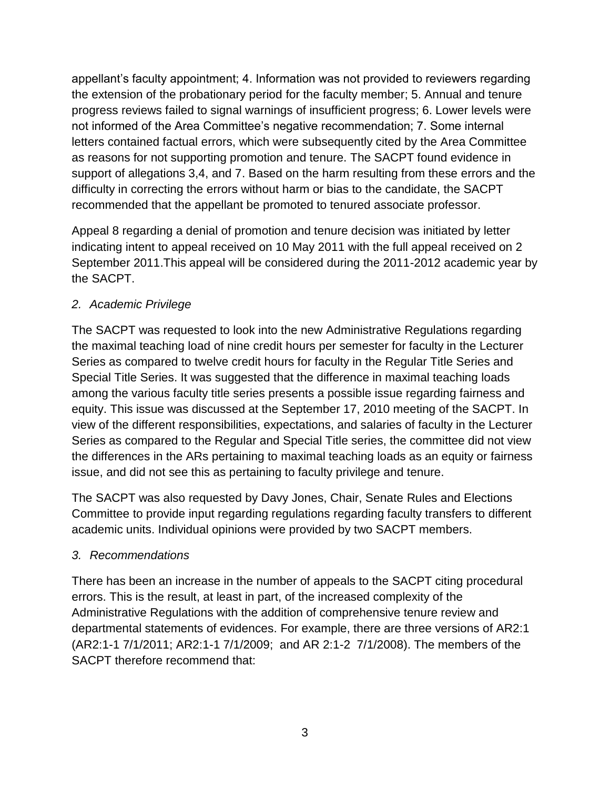appellant's faculty appointment; 4. Information was not provided to reviewers regarding the extension of the probationary period for the faculty member; 5. Annual and tenure progress reviews failed to signal warnings of insufficient progress; 6. Lower levels were not informed of the Area Committee's negative recommendation; 7. Some internal letters contained factual errors, which were subsequently cited by the Area Committee as reasons for not supporting promotion and tenure. The SACPT found evidence in support of allegations 3,4, and 7. Based on the harm resulting from these errors and the difficulty in correcting the errors without harm or bias to the candidate, the SACPT recommended that the appellant be promoted to tenured associate professor.

Appeal 8 regarding a denial of promotion and tenure decision was initiated by letter indicating intent to appeal received on 10 May 2011 with the full appeal received on 2 September 2011.This appeal will be considered during the 2011-2012 academic year by the SACPT.

## *2. Academic Privilege*

The SACPT was requested to look into the new Administrative Regulations regarding the maximal teaching load of nine credit hours per semester for faculty in the Lecturer Series as compared to twelve credit hours for faculty in the Regular Title Series and Special Title Series. It was suggested that the difference in maximal teaching loads among the various faculty title series presents a possible issue regarding fairness and equity. This issue was discussed at the September 17, 2010 meeting of the SACPT. In view of the different responsibilities, expectations, and salaries of faculty in the Lecturer Series as compared to the Regular and Special Title series, the committee did not view the differences in the ARs pertaining to maximal teaching loads as an equity or fairness issue, and did not see this as pertaining to faculty privilege and tenure.

The SACPT was also requested by Davy Jones, Chair, Senate Rules and Elections Committee to provide input regarding regulations regarding faculty transfers to different academic units. Individual opinions were provided by two SACPT members.

## *3. Recommendations*

There has been an increase in the number of appeals to the SACPT citing procedural errors. This is the result, at least in part, of the increased complexity of the Administrative Regulations with the addition of comprehensive tenure review and departmental statements of evidences. For example, there are three versions of AR2:1 (AR2:1-1 7/1/2011; AR2:1-1 7/1/2009; and AR 2:1-2 7/1/2008). The members of the SACPT therefore recommend that: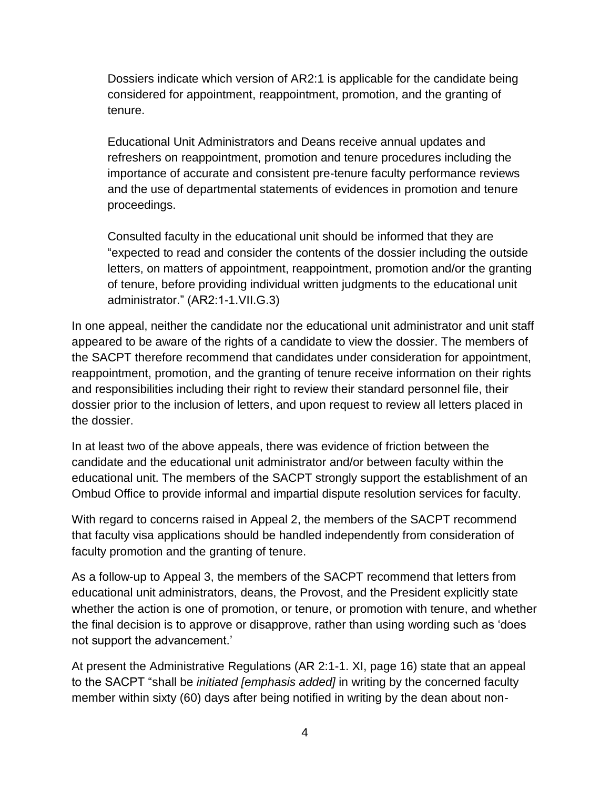Dossiers indicate which version of AR2:1 is applicable for the candidate being considered for appointment, reappointment, promotion, and the granting of tenure.

Educational Unit Administrators and Deans receive annual updates and refreshers on reappointment, promotion and tenure procedures including the importance of accurate and consistent pre-tenure faculty performance reviews and the use of departmental statements of evidences in promotion and tenure proceedings.

Consulted faculty in the educational unit should be informed that they are "expected to read and consider the contents of the dossier including the outside letters, on matters of appointment, reappointment, promotion and/or the granting of tenure, before providing individual written judgments to the educational unit administrator." (AR2:1-1.VII.G.3)

In one appeal, neither the candidate nor the educational unit administrator and unit staff appeared to be aware of the rights of a candidate to view the dossier. The members of the SACPT therefore recommend that candidates under consideration for appointment, reappointment, promotion, and the granting of tenure receive information on their rights and responsibilities including their right to review their standard personnel file, their dossier prior to the inclusion of letters, and upon request to review all letters placed in the dossier.

In at least two of the above appeals, there was evidence of friction between the candidate and the educational unit administrator and/or between faculty within the educational unit. The members of the SACPT strongly support the establishment of an Ombud Office to provide informal and impartial dispute resolution services for faculty.

With regard to concerns raised in Appeal 2, the members of the SACPT recommend that faculty visa applications should be handled independently from consideration of faculty promotion and the granting of tenure.

As a follow-up to Appeal 3, the members of the SACPT recommend that letters from educational unit administrators, deans, the Provost, and the President explicitly state whether the action is one of promotion, or tenure, or promotion with tenure, and whether the final decision is to approve or disapprove, rather than using wording such as 'does not support the advancement.'

At present the Administrative Regulations (AR 2:1-1. XI, page 16) state that an appeal to the SACPT "shall be *initiated [emphasis added]* in writing by the concerned faculty member within sixty (60) days after being notified in writing by the dean about non